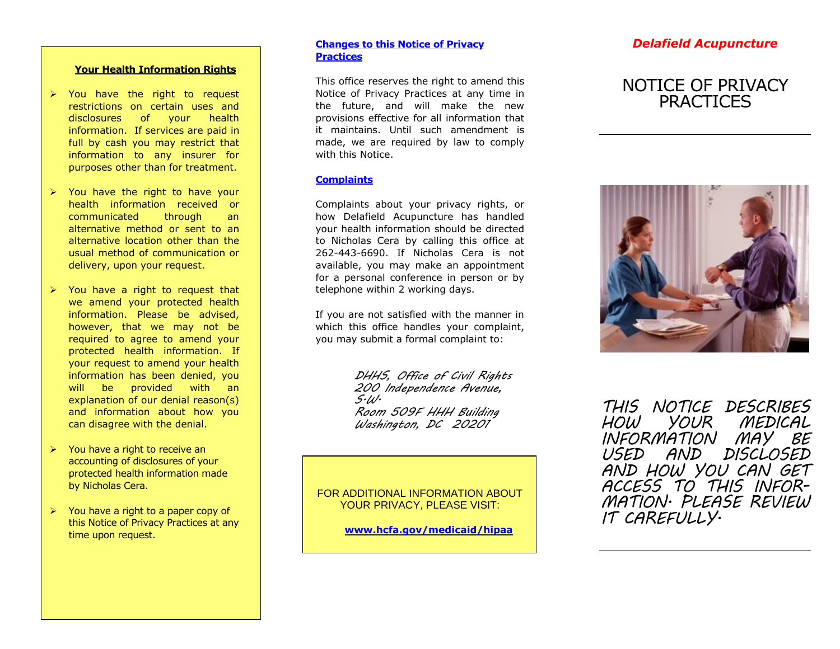#### **Your Health Information Rights**

- > You have the right to request restrictions on certain uses and disclosures of your health information. If services are paid in full by cash you may restrict that information to any insurer for purposes other than for treatment.
- $\triangleright$  You have the right to have your health information received or communicated through an alternative method or sent to an alternative location other than the usual method of communication or delivery, upon your request.
- $\triangleright$  You have a right to request that we amend your protected health information. Please be advised, however, that we may not be required to agree to amend your protected health information. If your request to amend your health information has been denied, you will be provided with an explanation of our denial reason(s) and information about how you can disagree with the denial.
- $\triangleright$  You have a right to receive an accounting of disclosures of your protected health information made by Nicholas Cera .
- $\triangleright$  You have a right to a paper copy of this Notice of Privacy Practices at any time upon request.

#### **Changes to this Notice of Privacy Practices**

This office reserves the right to amend this Notice of Privacy Practices at any time in the future, and will make the new provisions effective for all information that it maintains. Until such amendment is made, we are required by law to comply with this Notice.

#### **Complaints**

Complaints about your privacy rights, or how Delafield Acupunctur e has handled your health information should be directed to Nicholas Cera by calling this office at 262 -443 -6690. If Nicholas Cera is not available, you may make an appointment for a personal conference in person or by telephone within 2 working days.

If you are not satisfied with the manner in which this office handles your complaint, you may submit a formal complaint to:

> *DHHS, Office of Civil Rights 200 Independence Avenue, S.W. Room 509F HHH Building Washington, DC 20201*

FOR ADDITIONAL INFORMATION ABOUT YOUR PRIVACY, PLEASE VISIT:

**www.hcfa.gov/medicaid/hipaa**

## *Delafield Acupuncture*

# NOTICE OF PRIVACY **PRACTICES**



*THIS NOTICE DESCRIBES HOW YOUR MEDICAL INFORMATION MAY BE USED AND DISCLOSED AND HOW YOU CAN GET ACCESS TO THIS INFOR - MATION. PLEASE REVIEW IT CAREFULLY.*